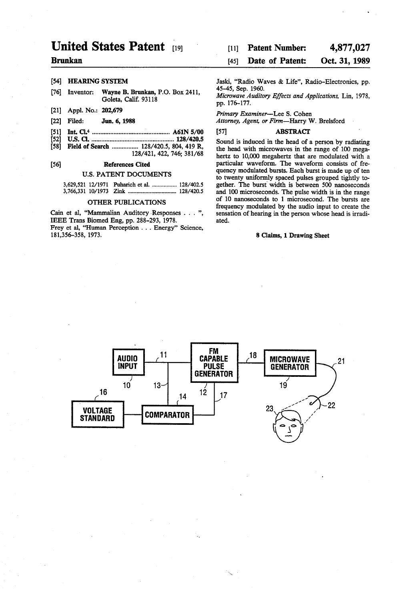# United States Patent (19)

# Brunkan

## [54] HEARING SYSTEM

- (76) Inventor: Wayne B. Brunkan, P.O. Box 2411, Goleta, Calif. 93118
- (21) Appl. No.: 202,679
- (22 Filed: Jun. 6, 1988
- 51 Int. Cl\* ...... 0 o O p O A61N 5/00
- 52 U.S. C. .................................................. 128/420.5
- [58] Field of Search ................. 128/420.5, 804, 419 R, 128/421, 422, 746; 381/68

# 56) References Cited

#### U.S. PATENT DOCUMENTS

3,629,521 12/1971 Puharich et al. ................. 128/402.5 3,766,331 10/1973 Zink ................................. 128/420.5

# OTHER PUBLICATIONS

Cain et al, "Mammalian Auditory Responses . . . ", IEEE Trans Biomed Eng, pp. 288-293, 1978. Frey et al., "Human Perception . . . Energy" Science, 181,356-358, 1973.

#### 4,877,027 [11] Patent Number:

#### Oct. 31, 1989 45) Date of Patent:

Jaski, "Radio Waves & Life', Radio-Electronics, pp. 45-45, Sep. 1960. Microwave Auditory Effects and Applications, Lin, 1978,

pp. 176-177.

Primary Examiner-Lee S. Cohen

Attorney, Agent, or Firm-Harry W. Brelsford

# [57] **ABSTRACT**

Sound is induced in the head of a person by radiating the head with microwaves in the range of 100 megahertz to 10,000 megahertz that are modulated with a particular waveform. The waveform consists of fre quency modulated bursts. Each burst is made up of ten to twenty uniformly spaced pulses grouped tightly to gether. The burst width is between 500 nanoseconds and 100 microseconds. The pulse width is in the range of 10 nanoseconds to 1 microsecond. The bursts are frequency modulated by the audio input to create the sensation of hearing in the person whose head is irradi ated.

#### 8 Claims, 1 Drawing Sheet

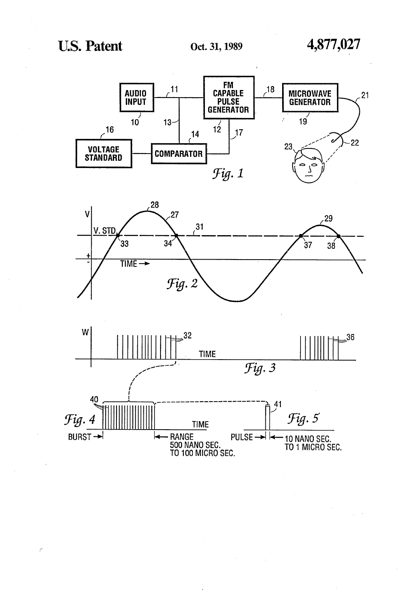$\mathcal{E}$ 





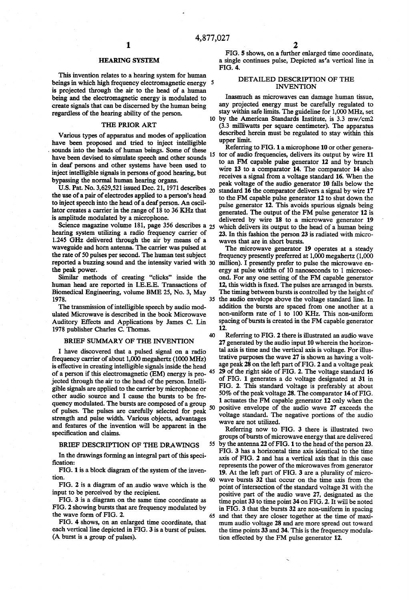# HEARNG SYSTEM

This invention relates to a hearing system for human beings in which high frequency electromagnetic energy 5 is projected through the air to the head of a human being and the electromagnetic energy is modulated to create signals that can be discerned by the human being regardless of the hearing ability of the person.

# THE PRIOR ART

Various types of apparatus and modes of application have been proposed and tried to inject intelligible sounds into the heads of human beings. Some of these have been devised to simulate speech and other sounds in deaf persons and other systems have been used to inject intelligible signals in persons of good hearing, but bypassing the normal human hearing organs.

U.S. Pat. No. 3,629,521 issued Dec. 21, 1971 describes  $_{20}$ the use of a pair of electrodes applied to a person's head to inject speech into the head of a deaf person. An oscil lator creates a carrier in the range of 18 to 36 KHz that is amplitude modulated by a microphone.

Science magazine volume 181, page 356 describes a <sub>25</sub> hearing system utilizing a radio frequency carrier of 1.245 GHz delivered through the air by means of a waveguide and horn antenna. The carrier was pulsed at the rate of 50 pulses per second. The human test subject the rate of 50 pulses per second. The human test subject reported a buzzing sound and the intensity varied with 30 the peak power.

Similar methods of creating "clicks' inside the human head are reported in I.E.E.E. Transactions of Biomedical Engineering, volume BME 25, No. 3, May 1978.

The transmission of intelligible speech by audio mod ulated Microwave is described in the book Microwave Auditory Effects and Applications by James C. Lin 1978 publisher Charles C. Thomas.

#### BRIEF SUMMARY OF THE INVENTION

I have discovered that a pulsed signal on a radio frequency carrier of about 1,000 megahertz (1000 MHz) is effective in creating intelligible signals inside the head iected through the air to the head of the person. Intelligible signals are applied to the carrier by microphone or other audio source and I cause the bursts to be fre of pulses. The pulses are carefully selected for peak strength and pulse width. Various objects, advantages and features of the invention will be apparent in the specification and claims. of a person if this electromagnetic (EM) energy is pro-45 50

# BRIEF DESCRIPTION OF THE DRAWINGS

In the drawings forming an integral part of this speci fication:

FIG. 1 is a block diagram of the system of the inven tion.

FIG. 2 is a diagram of an audio wave which is the input to be perceived by the recipient.

FIG. 3 is a diagram on the same time coordinate as FIG. 2 showing bursts that are frequency modulated by the wave form of FIG. 2.

FIG. 4 shows, on an enlarged time coordinate, that (A burst is a group of pulses).

FIG. 5 shows, on a further enlarged time coordinate, a single continues pulse, Depicted as 'a vertical line in FIG. 4.

# DETALED DESCRIPTION OF THE INVENTION

10 by the American Standards Institute, is 3.3 mw/cm2 Inasmuch as microwaves can damage human tissue, any projected energy must be carefully regulated to stay within safe limits. The guideline for 1,000 MHz, set

(3.3 milliwatts per square centimeter). The apparatus described herein must be regulated to stay within this upper limit.

15 Referring to FIG.1a microphone 10 or other genera tor of audio frequencies, delivers its output by wire 11 to an FM capable pulse generator 12 and by branch wire 13 to a comparator 14. The comparator 14 also receives a signal from a voltage standard 16. When the peak voltage of the audio generator 10 falls below the standard 16 the comparator delivers a signal by wire 17 to the FM capable pulse generator 12 to shut down the pulse generator 12. This avoids spurious signals being generated. The output of the FM pulse generator 12 is delivered by wire 18 to a microwave generator 19 which delivers its output to the head of a human being 23. In this fashion the person 23 is radiated with microwaves that are in short bursts.<br>The microwave generator 19 operates at a steady

35 the audio envelope above the voltage standard line. In frequency presently preferred at 1,000 megahertz (1,000) million). I presently prefer to pulse the microwave en ergy at pulse widths of 10 nanoseconds to 1 microsec ond. For any one setting of the FM capable generator 12, this width is fixed. The pulses are arranged in bursts. The timing between bursts is controlled by the height of addition the bursts are spaced from one another at a non-uniform rate of 1 to 100 KHz. This non-uniform spacing of bursts is created in the FM capable generator 12.

40 Referring to FIG. 2 there is illustrated an audio wave 27 generated by the audio input 10 wherein the horizon tal axis is time and the vertical axis is voltage. For illus trative purposes the wave 27 is shown as having a voltage peak 28 on the left part of FIG. 2 and a voltage peak 29 of the right side of FIG. 2. The voltage standard 16 of FIG. 1 generates a dc voltage designated at 31 in FIG. 2. This standard voltage is preferably at about 50% of the peak voltage 28. The comparator 14 of FIG. 1 actuates the FM capable generator 12 only when the positive envelope of the audio wave 27 exceeds the voltage standard. The negative portions of the audio wave are not utilized.

Referring now to FIG. 3 there is illustrated two groups of bursts of microwave energy that are delivered 55 by the antenna 22 of FIG. 1 to the head of the person 23. FIG. 3 has a horizontal time axis identical to the time axis of FIG. 2 and has a vertical axis that in this case represents the power of the microwaves from generator 19. At the left part of FIG. 3 are a plurality of microwave bursts 32 that occur on the time axis from the 60 point of intersection of the standard voltage 31 with the positive part of the audio wave 27, designated as the time point 33 to time point 34 on FIG. 2. It will be noted<br>in FIG. 3 that the bursts 32 are non-uniform in spacing 65 and that they are closer together at the time of maximum audio voltage 28 and are more spread out toward the time points 33 and 34. This is the frequency modula tion effected by the FM pulse generator 12.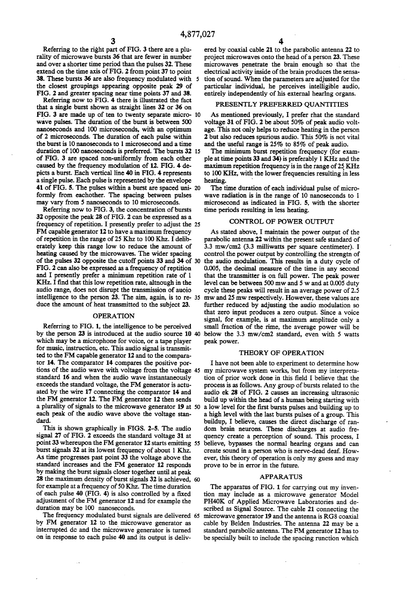4,877,027<br>3<br>Referring to the right part of FIG. 3 there are a plurality of microwave bursts 36 that are fewer in number and over a shorter time period than the pulses 32. These extend on the time axis of FIG. 2 from point 37 to point 38. These bursts 36 are also frequency modulated with 5 the closest groupings appearing opposite peak 29 of FIG. 2 and greater spacing near time points 37 and 38.

Referring now to FIG. 4 there is illustrated the fact that a single burst shown as straight lines 32 or 36 on FIG. 3 are made up of ten to twenty separate micro- 10 wave pulses. The duration of the burst is between 500 nanoseconds and 100 microseconds, with an optimum of 2 microseconds. The duration of each pulse within the burst is 10 nanoseconds to 1 microsecond and a time duration of 100 nanoseconds is preferred. The bursts 32 15 of FIG. 3 are spaced non-uniformly from each other caused by the frequency modulation of 12. FIG. 4 de picts a burst. Each vertical line 40 in FIG. 4 represents a single pulse. Each pulse is represented by the envelope 41 of FIG. 5. The pulses within a burst are spaced uni- 20 formly from eachother. The spacing between pulses may vary from 5 nanoseconds to 10 microseconds.

Referring now to FIG. 3, the concentration of bursts 32 opposite the peak 28 of FIG. 2 can be expressed as a frequency of repetition. I presently prefer to adjust the 25 FM capable generator 12 to have a maximum frequency of repetition in the range of 25Khz to 100 Khz. I delib erately keep this range low to reduce the amount of heating caused by the microwaves. The wider spacing heating caused by the microwaves. The wider spacing of the pulses 32 opposite the cutoff points 33 and 34 of 30 FIG. 2 can also be expressed as a frequency of reptition and I presently prefer a minimum repetition rate of 1 KHz. I find that this low repetition rate, altnough in the audio range, does not disrupt the transmission of auoio intelligence to the person 23. The aim, again, is to re 35 duce the amount of heat transmitted to the subject 23.

#### OPERATION

Referring to FIG. 1, the intelligence to be perceived by the person 23 is introduced at the audio source 10 below the 3.3 mw/cm2 standard, even with 5 watts which may be a microphone for voice, or a tape player for music, instruction, etc. This audio signal is transmit ted to the FM capable generator 12 and to the comparator 14. The comparator 14 compares the positive porstandard 16 and when the audio wave instantaneously exceeds the standard voltage, the FM generator is actuated by the wire 17 connecting the comparator 14 and the FM generator 12. The FM generator 12 then sends a plurality of signals to the microwave generator 19 at 50 a low level for the first bursts pulses and building up to each peak of the audio wave above the voltage stan dard. tions of the audio wave with voltage from the voltage 45 my microwave system works, but from my interpreta-

This is shown graphically in FIGS. 2-5. The audio signal 27 of FIG. 2 exceeds the standard voltage 31 at point 33 whereupon the FM generator 12 starts emitting 55 believe, bypasses the normal hearing organs and can burst signals 32 at its lowest frequency of about 1 Khz. As time progresses past point 33 the voltage above the standard increases and the FM generator 12 responds by making the burst signals closer together until at peak 28 the maximum density of burst signals 32 is achieved, 60 for example at a frequency of 50 Khz. The time duration of each pulse 40 (FIG. 4) is also controlled by a fixed adjustment of the FM generator 12 and for example the duration may be 100 nanoseconds.

The frequency modulated burst signals are delivered 65 by FM generator 12 to the microwave generator as interrupted dc and the microwave generator is turned on in response to each pulse 40 and its output is deliv

ered by coaxial cable 21 to the parabolic antenna 22 to project microwaves onto the head of a person 23. These microwaves penetrate the brain enough so that the electrical activity inside of the brain produces the sensa tion of sound. When the parameters are adjusted for the entirely independently of his external hearlng organs.

# PRESENTLY PREFERRED QUANTITIES

As mentioned previously, I prefer rhat the standard voltage 31 of FIG. 2 be about 50% of peak audio volt age. This not only helps to reduce heating in the person 2 but also reduces spurious audio. This 50% is not vital and the useful range is 25% to 85% of peak audio.

The minimum burst repetition frequency (for exam ple at time points 33 and 34) is preferably 1 KHz and the maximum repetition frequency is in the range of 25KHz to 100 KHz, with the lower frequencies resulting in less heating.

The time duration of each individual pulse of micro wave radiation is in the range of 10 nanoseconds to 1 microsecond as indicated in FIG. 5, with the shorter time periods resulting in less heating.

### CONTROL OF POWER OUTPUT

As stated above, I maintain the power output of the parabolic antenna 22 within the present safe standard of 3.3 mw/cm2 (3.3 milliwatts per square centimeter). I control the power output by controlling the strengtn of the audio modulation. This results in a duty cycle of 0.005, the decimal measure of the time in any second level can be between 500 mw and 5 w and at 0.005 duty cycle these peaks will result in an average power of 2.5 mw and 25 mw respectively. However, these values are further reduced by adjusting the audio modulation so that zero input produces a zero output. Since a voice signal, for example, is at maximum amplitude only a small fraction of the rime, the average power will be peak power.

## THEORY OF ORERATION

I have not been able to experiment to determine how tion of prior work done in this field I believe that the process is as follows. Any group of bursts related to the audio ek 28 of FIG. 2 causes an increasing ultrasonic build up within the head of a human being starting with a high level with the last bursts pulses of a group. This buildup, I believe, causes the direct discharge of ran dom brain neurons. These discharges at audio fre quency create a perception of sound. This process, I create sound in a person who is nerve-dead deaf. How ever, this theory of operation is only my guess and may prove to be in error in the future.

# APPARATUS

The apparatus of FIG. 1 for carrying out my invention may include as a microwave generator Model PH40K of Applied Microwave Laboratories and de scribed as Signal Source. The cable 21 connecting the microwave generator 19 and the antenna is RG8 coaxial cable by Belden Industries. The antenna 22 may be a standard parabolic antenna. The FM generator 12 has to be specially built to include the spacing runction which